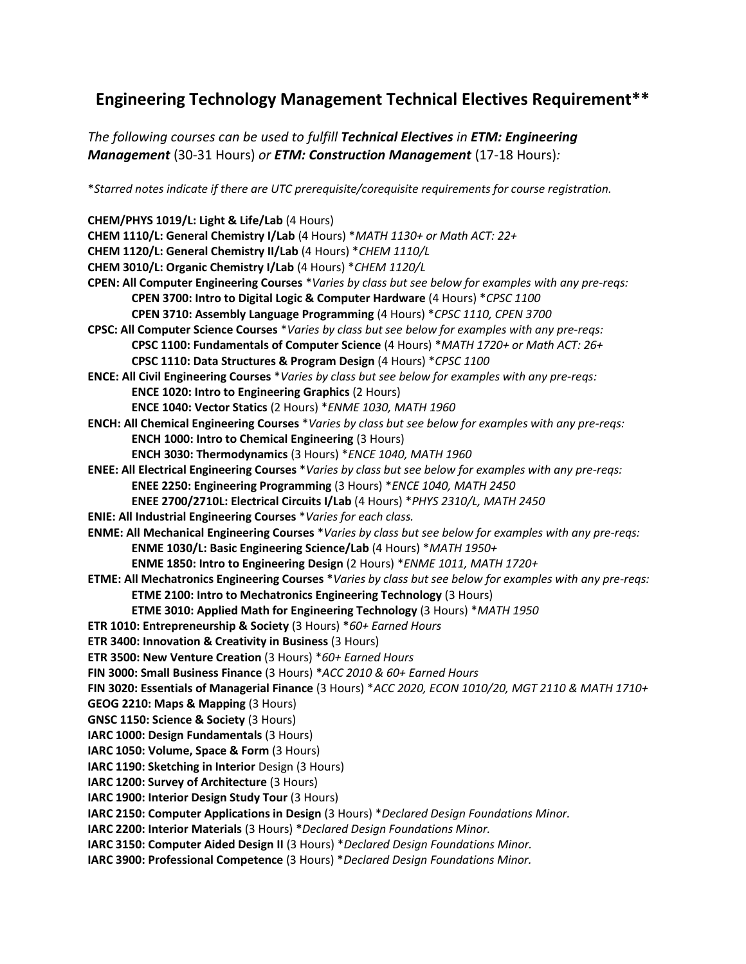## **Engineering Technology Management Technical Electives Requirement\*\***

*The following courses can be used to fulfill Technical Electives in ETM: Engineering Management* (30-31 Hours) *or ETM: Construction Management* (17-18 Hours)*:*

\**Starred notes indicate if there are UTC prerequisite/corequisite requirements for course registration.*

**CHEM/PHYS 1019/L: Light & Life/Lab** (4 Hours) **CHEM 1110/L: General Chemistry I/Lab** (4 Hours) \**MATH 1130+ or Math ACT: 22+* **CHEM 1120/L: General Chemistry II/Lab** (4 Hours) \**CHEM 1110/L* **CHEM 3010/L: Organic Chemistry I/Lab** (4 Hours) \**CHEM 1120/L* **CPEN: All Computer Engineering Courses** \**Varies by class but see below for examples with any pre-reqs:* **CPEN 3700: Intro to Digital Logic & Computer Hardware** (4 Hours) \**CPSC 1100* **CPEN 3710: Assembly Language Programming** (4 Hours) \**CPSC 1110, CPEN 3700* **CPSC: All Computer Science Courses** \**Varies by class but see below for examples with any pre-reqs:* **CPSC 1100: Fundamentals of Computer Science** (4 Hours) \**MATH 1720+ or Math ACT: 26+* **CPSC 1110: Data Structures & Program Design** (4 Hours) \**CPSC 1100* **ENCE: All Civil Engineering Courses** \**Varies by class but see below for examples with any pre-reqs:* **ENCE 1020: Intro to Engineering Graphics** (2 Hours) **ENCE 1040: Vector Statics** (2 Hours) \**ENME 1030, MATH 1960* **ENCH: All Chemical Engineering Courses** \**Varies by class but see below for examples with any pre-reqs:* **ENCH 1000: Intro to Chemical Engineering** (3 Hours) **ENCH 3030: Thermodynamics** (3 Hours) \**ENCE 1040, MATH 1960* **ENEE: All Electrical Engineering Courses** \**Varies by class but see below for examples with any pre-reqs:* **ENEE 2250: Engineering Programming** (3 Hours) \**ENCE 1040, MATH 2450* **ENEE 2700/2710L: Electrical Circuits I/Lab** (4 Hours) \**PHYS 2310/L, MATH 2450* **ENIE: All Industrial Engineering Courses** \**Varies for each class.* **ENME: All Mechanical Engineering Courses** \**Varies by class but see below for examples with any pre-reqs:* **ENME 1030/L: Basic Engineering Science/Lab** (4 Hours) \**MATH 1950+* **ENME 1850: Intro to Engineering Design** (2 Hours) \**ENME 1011, MATH 1720+* **ETME: All Mechatronics Engineering Courses** \**Varies by class but see below for examples with any pre-reqs:* **ETME 2100: Intro to Mechatronics Engineering Technology** (3 Hours) **ETME 3010: Applied Math for Engineering Technology** (3 Hours) \**MATH 1950* **ETR 1010: Entrepreneurship & Society** (3 Hours) \**60+ Earned Hours* **ETR 3400: Innovation & Creativity in Business** (3 Hours) **ETR 3500: New Venture Creation** (3 Hours) \**60+ Earned Hours* **FIN 3000: Small Business Finance** (3 Hours) \**ACC 2010 & 60+ Earned Hours* **FIN 3020: Essentials of Managerial Finance** (3 Hours) \**ACC 2020, ECON 1010/20, MGT 2110 & MATH 1710+* **GEOG 2210: Maps & Mapping** (3 Hours) **GNSC 1150: Science & Society** (3 Hours) **IARC 1000: Design Fundamentals** (3 Hours) **IARC 1050: Volume, Space & Form** (3 Hours) **IARC 1190: Sketching in Interior** Design (3 Hours) **IARC 1200: Survey of Architecture** (3 Hours) **IARC 1900: Interior Design Study Tour** (3 Hours) **IARC 2150: Computer Applications in Design** (3 Hours) \**Declared Design Foundations Minor.* **IARC 2200: Interior Materials** (3 Hours) \**Declared Design Foundations Minor.* **IARC 3150: Computer Aided Design II** (3 Hours) \**Declared Design Foundations Minor.* **IARC 3900: Professional Competence** (3 Hours) \**Declared Design Foundations Minor.*